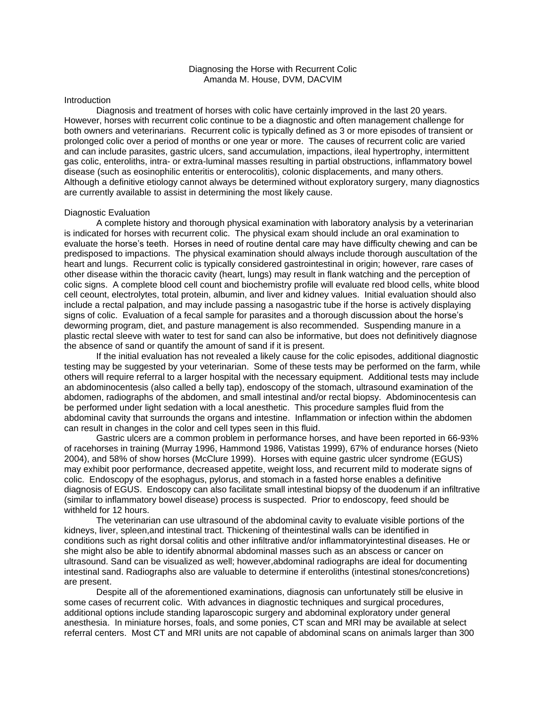# Diagnosing the Horse with Recurrent Colic Amanda M. House, DVM, DACVIM

### **Introduction**

Diagnosis and treatment of horses with colic have certainly improved in the last 20 years. However, horses with recurrent colic continue to be a diagnostic and often management challenge for both owners and veterinarians. Recurrent colic is typically defined as 3 or more episodes of transient or prolonged colic over a period of months or one year or more. The causes of recurrent colic are varied and can include parasites, gastric ulcers, sand accumulation, impactions, ileal hypertrophy, intermittent gas colic, enteroliths, intra- or extra-luminal masses resulting in partial obstructions, inflammatory bowel disease (such as eosinophilic enteritis or enterocolitis), colonic displacements, and many others. Although a definitive etiology cannot always be determined without exploratory surgery, many diagnostics are currently available to assist in determining the most likely cause.

### Diagnostic Evaluation

A complete history and thorough physical examination with laboratory analysis by a veterinarian is indicated for horses with recurrent colic. The physical exam should include an oral examination to evaluate the horse's teeth. Horses in need of routine dental care may have difficulty chewing and can be predisposed to impactions. The physical examination should always include thorough auscultation of the heart and lungs. Recurrent colic is typically considered gastrointestinal in origin; however, rare cases of other disease within the thoracic cavity (heart, lungs) may result in flank watching and the perception of colic signs. A complete blood cell count and biochemistry profile will evaluate red blood cells, white blood cell ceount, electrolytes, total protein, albumin, and liver and kidney values. Initial evaluation should also include a rectal palpation, and may include passing a nasogastric tube if the horse is actively displaying signs of colic. Evaluation of a fecal sample for parasites and a thorough discussion about the horse's deworming program, diet, and pasture management is also recommended. Suspending manure in a plastic rectal sleeve with water to test for sand can also be informative, but does not definitively diagnose the absence of sand or quantify the amount of sand if it is present.

If the initial evaluation has not revealed a likely cause for the colic episodes, additional diagnostic testing may be suggested by your veterinarian. Some of these tests may be performed on the farm, while others will require referral to a larger hospital with the necessary equipment. Additional tests may include an abdominocentesis (also called a belly tap), endoscopy of the stomach, ultrasound examination of the abdomen, radiographs of the abdomen, and small intestinal and/or rectal biopsy. Abdominocentesis can be performed under light sedation with a local anesthetic. This procedure samples fluid from the abdominal cavity that surrounds the organs and intestine. Inflammation or infection within the abdomen can result in changes in the color and cell types seen in this fluid.

Gastric ulcers are a common problem in performance horses, and have been reported in 66-93% of racehorses in training (Murray 1996, Hammond 1986, Vatistas 1999), 67% of endurance horses (Nieto 2004), and 58% of show horses (McClure 1999). Horses with equine gastric ulcer syndrome (EGUS) may exhibit poor performance, decreased appetite, weight loss, and recurrent mild to moderate signs of colic. Endoscopy of the esophagus, pylorus, and stomach in a fasted horse enables a definitive diagnosis of EGUS. Endoscopy can also facilitate small intestinal biopsy of the duodenum if an infiltrative (similar to inflammatory bowel disease) process is suspected. Prior to endoscopy, feed should be withheld for 12 hours.

The veterinarian can use ultrasound of the abdominal cavity to evaluate visible portions of the kidneys, liver, spleen,and intestinal tract. Thickening of theintestinal walls can be identified in conditions such as right dorsal colitis and other infiltrative and/or inflammatoryintestinal diseases. He or she might also be able to identify abnormal abdominal masses such as an abscess or cancer on ultrasound. Sand can be visualized as well; however,abdominal radiographs are ideal for documenting intestinal sand. Radiographs also are valuable to determine if enteroliths (intestinal stones/concretions) are present.

Despite all of the aforementioned examinations, diagnosis can unfortunately still be elusive in some cases of recurrent colic. With advances in diagnostic techniques and surgical procedures, additional options include standing laparoscopic surgery and abdominal exploratory under general anesthesia. In miniature horses, foals, and some ponies, CT scan and MRI may be available at select referral centers. Most CT and MRI units are not capable of abdominal scans on animals larger than 300